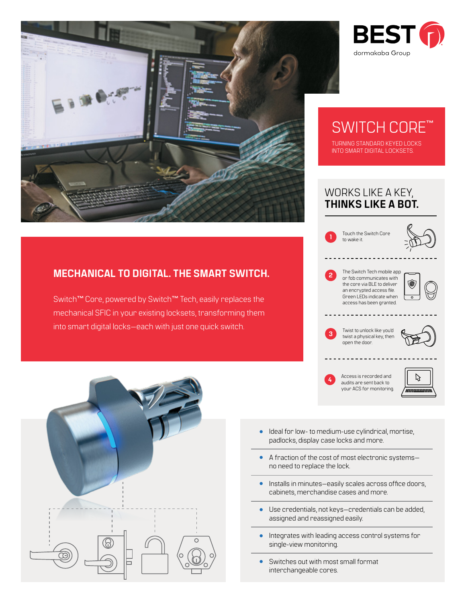

SWITCH CORE™

TURNING STANDARD KEYED LOCKS INTO SMART DIGITAL LOCKSETS.



# **MECHANICAL TO DIGITAL. THE SMART SWITCH.**

Switch™ Core, powered by Switch™ Tech, easily replaces the mechanical SFIC in your existing locksets, transforming them into smart digital locks—each with just one quick switch.





- Ideal for low- to medium-use cylindrical, mortise, padlocks, display case locks and more.
- A fraction of the cost of most electronic systems no need to replace the lock.
- Installs in minutes—easily scales across office doors, cabinets, merchandise cases and more.
- Use credentials, not keys—credentials can be added, assigned and reassigned easily.
- Integrates with leading access control systems for single-view monitoring.
- Switches out with most small format interchangeable cores.